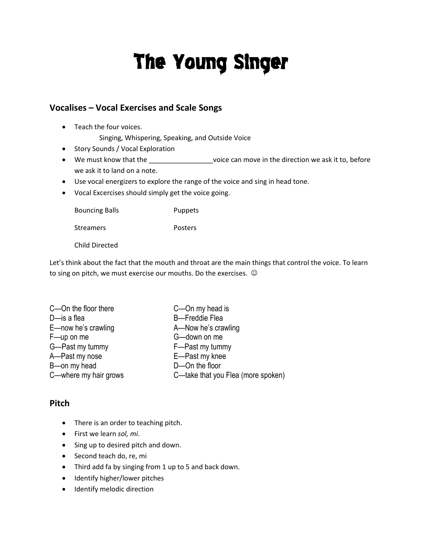# The Young Singer

## **Vocalises – Vocal Exercises and Scale Songs**

- Teach the four voices. Singing, Whispering, Speaking, and Outside Voice
- Story Sounds / Vocal Exploration
- We must know that the \_\_\_\_\_\_\_\_\_\_\_\_\_\_\_\_\_\_\_\_\_voice can move in the direction we ask it to, before we ask it to land on a note.
- Use vocal energizers to explore the range of the voice and sing in head tone.
- Vocal Excercises should simply get the voice going.

Bouncing Balls **Puppets** 

Streamers **Posters** 

Child Directed

Let's think about the fact that the mouth and throat are the main things that control the voice. To learn to sing on pitch, we must exercise our mouths. Do the exercises.  $\odot$ 

| C-On the floor there  | C-On my head is                    |
|-----------------------|------------------------------------|
| $D$ —is a flea        | <b>B</b> -Freddie Flea             |
| E-now he's crawling   | A-Now he's crawling                |
| F-up on me            | G-down on me                       |
| G-Past my tummy       | F-Past my tummy                    |
| A-Past my nose        | E-Past my knee                     |
| B-on my head          | D-On the floor                     |
| C-where my hair grows | C-take that you Flea (more spoken) |

### **Pitch**

- There is an order to teaching pitch.
- First we learn *sol, mi*.
- Sing up to desired pitch and down.
- Second teach do, re, mi
- Third add fa by singing from 1 up to 5 and back down.
- Identify higher/lower pitches
- Identify melodic direction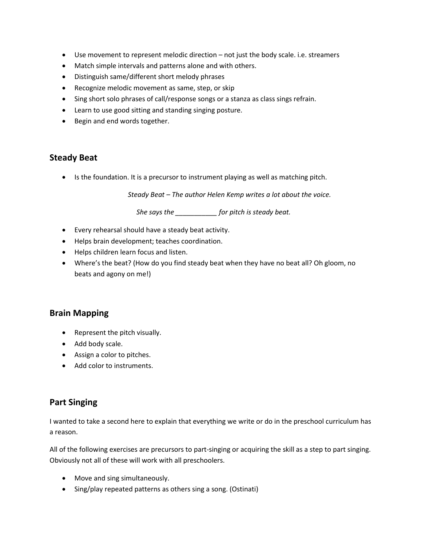- Use movement to represent melodic direction not just the body scale. i.e. streamers
- Match simple intervals and patterns alone and with others.
- Distinguish same/different short melody phrases
- Recognize melodic movement as same, step, or skip
- Sing short solo phrases of call/response songs or a stanza as class sings refrain.
- Learn to use good sitting and standing singing posture.
- Begin and end words together.

### **Steady Beat**

• Is the foundation. It is a precursor to instrument playing as well as matching pitch.

*Steady Beat – The author Helen Kemp writes a lot about the voice.*

*She says the \_\_\_\_\_\_\_\_\_\_\_ for pitch is steady beat.*

- Every rehearsal should have a steady beat activity.
- Helps brain development; teaches coordination.
- Helps children learn focus and listen.
- Where's the beat? (How do you find steady beat when they have no beat all? Oh gloom, no beats and agony on me!)

#### **Brain Mapping**

- Represent the pitch visually.
- Add body scale.
- Assign a color to pitches.
- Add color to instruments.

### **Part Singing**

I wanted to take a second here to explain that everything we write or do in the preschool curriculum has a reason.

All of the following exercises are precursors to part-singing or acquiring the skill as a step to part singing. Obviously not all of these will work with all preschoolers.

- Move and sing simultaneously.
- Sing/play repeated patterns as others sing a song. (Ostinati)